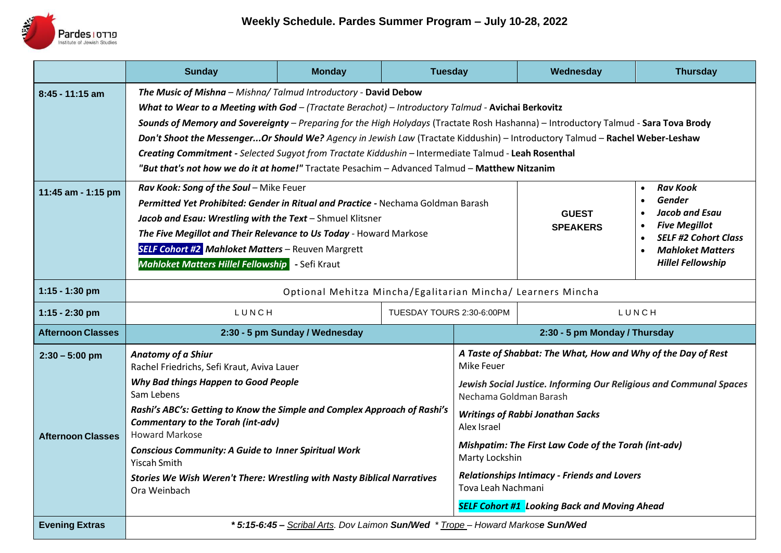

|                          | <b>Sunday</b>                                                                                                                                                                                                                                                                                                                                                                                                                                                                                                                                                                                                                                         | <b>Monday</b> | <b>Tuesday</b> |                                                                                              | Wednesday                                                                | <b>Thursday</b>                                                                                                                                                                                                                          |
|--------------------------|-------------------------------------------------------------------------------------------------------------------------------------------------------------------------------------------------------------------------------------------------------------------------------------------------------------------------------------------------------------------------------------------------------------------------------------------------------------------------------------------------------------------------------------------------------------------------------------------------------------------------------------------------------|---------------|----------------|----------------------------------------------------------------------------------------------|--------------------------------------------------------------------------|------------------------------------------------------------------------------------------------------------------------------------------------------------------------------------------------------------------------------------------|
| $8:45 - 11:15$ am        | The Music of Mishna - Mishna/ Talmud Introductory - David Debow<br>What to Wear to a Meeting with God - (Tractate Berachot) - Introductory Talmud - Avichai Berkovitz<br>Sounds of Memory and Sovereignty - Preparing for the High Holydays (Tractate Rosh Hashanna) - Introductory Talmud - Sara Tova Brody<br>Don't Shoot the MessengerOr Should We? Agency in Jewish Law (Tractate Kiddushin) - Introductory Talmud - Rachel Weber-Leshaw<br>Creating Commitment - Selected Sugyot from Tractate Kiddushin - Intermediate Talmud - Leah Rosenthal<br>"But that's not how we do it at home!" Tractate Pesachim - Advanced Talmud - Matthew Nitzanim |               |                |                                                                                              |                                                                          |                                                                                                                                                                                                                                          |
| 11:45 am - 1:15 pm       | Rav Kook: Song of the Soul - Mike Feuer<br>Permitted Yet Prohibited: Gender in Ritual and Practice - Nechama Goldman Barash<br>Jacob and Esau: Wrestling with the Text - Shmuel Klitsner<br>The Five Megillot and Their Relevance to Us Today - Howard Markose<br><b>SELF Cohort #2 Mahloket Matters - Reuven Margrett</b><br><b>Mahloket Matters Hillel Fellowship</b> - Sefi Kraut                                                                                                                                                                                                                                                                  |               |                |                                                                                              | <b>GUEST</b><br><b>SPEAKERS</b>                                          | <b>Rav Kook</b><br>$\bullet$<br><b>Gender</b><br>$\bullet$<br><b>Jacob and Esau</b><br>$\bullet$<br><b>Five Megillot</b><br>$\bullet$<br><b>SELF #2 Cohort Class</b><br>$\bullet$<br><b>Mahloket Matters</b><br><b>Hillel Fellowship</b> |
| $1:15 - 1:30$ pm         | Optional Mehitza Mincha/Egalitarian Mincha/ Learners Mincha                                                                                                                                                                                                                                                                                                                                                                                                                                                                                                                                                                                           |               |                |                                                                                              |                                                                          |                                                                                                                                                                                                                                          |
| $1:15 - 2:30$ pm         | LUNCH<br>TUESDAY TOURS 2:30-6:00PM                                                                                                                                                                                                                                                                                                                                                                                                                                                                                                                                                                                                                    |               |                | LUNCH                                                                                        |                                                                          |                                                                                                                                                                                                                                          |
| <b>Afternoon Classes</b> | 2:30 - 5 pm Sunday / Wednesday                                                                                                                                                                                                                                                                                                                                                                                                                                                                                                                                                                                                                        |               |                | 2:30 - 5 pm Monday / Thursday                                                                |                                                                          |                                                                                                                                                                                                                                          |
| $2:30 - 5:00$ pm         | <b>Anatomy of a Shiur</b><br>Rachel Friedrichs, Sefi Kraut, Aviva Lauer                                                                                                                                                                                                                                                                                                                                                                                                                                                                                                                                                                               |               |                | A Taste of Shabbat: The What, How and Why of the Day of Rest<br>Mike Feuer                   |                                                                          |                                                                                                                                                                                                                                          |
|                          | Why Bad things Happen to Good People<br>Sam Lebens<br>Rashi's ABC's: Getting to Know the Simple and Complex Approach of Rashi's<br><b>Commentary to the Torah (int-adv)</b><br><b>Howard Markose</b><br><b>Conscious Community: A Guide to Inner Spiritual Work</b><br>Yiscah Smith                                                                                                                                                                                                                                                                                                                                                                   |               |                | Jewish Social Justice. Informing Our Religious and Communal Spaces<br>Nechama Goldman Barash |                                                                          |                                                                                                                                                                                                                                          |
| <b>Afternoon Classes</b> |                                                                                                                                                                                                                                                                                                                                                                                                                                                                                                                                                                                                                                                       |               |                | <b>Writings of Rabbi Jonathan Sacks</b><br>Alex Israel                                       |                                                                          |                                                                                                                                                                                                                                          |
|                          |                                                                                                                                                                                                                                                                                                                                                                                                                                                                                                                                                                                                                                                       |               |                | Mishpatim: The First Law Code of the Torah (int-adv)<br>Marty Lockshin                       |                                                                          |                                                                                                                                                                                                                                          |
|                          | Stories We Wish Weren't There: Wrestling with Nasty Biblical Narratives<br>Ora Weinbach                                                                                                                                                                                                                                                                                                                                                                                                                                                                                                                                                               |               |                |                                                                                              | <b>Relationships Intimacy - Friends and Lovers</b><br>Tova Leah Nachmani |                                                                                                                                                                                                                                          |
|                          | <b>SELF Cohort #1 Looking Back and Moving Ahead</b>                                                                                                                                                                                                                                                                                                                                                                                                                                                                                                                                                                                                   |               |                |                                                                                              |                                                                          |                                                                                                                                                                                                                                          |
| <b>Evening Extras</b>    | * 5:15-6:45 - Scribal Arts. Dov Laimon Sun/Wed * Trope - Howard Markose Sun/Wed                                                                                                                                                                                                                                                                                                                                                                                                                                                                                                                                                                       |               |                |                                                                                              |                                                                          |                                                                                                                                                                                                                                          |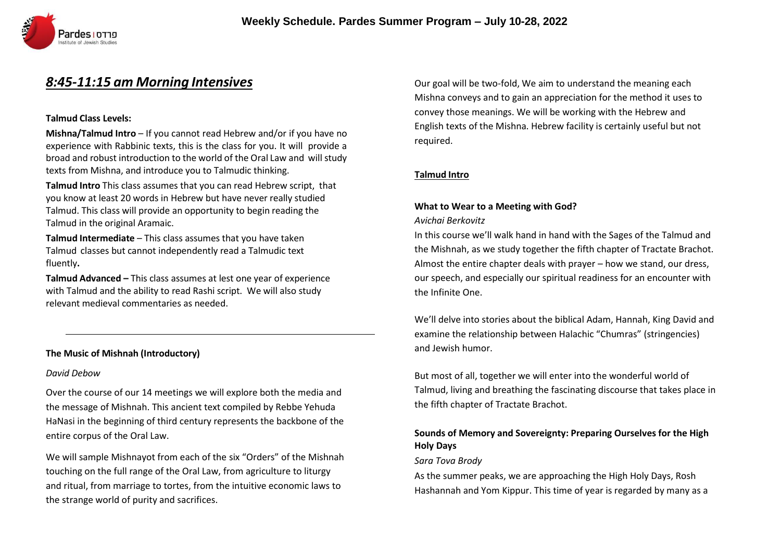

# *8:45-11:15 am Morning Intensives*

### **Talmud Class Levels:**

**Mishna/Talmud Intro** – If you cannot read Hebrew and/or if you have no experience with Rabbinic texts, this is the class for you. It will provide a broad and robust introduction to the world of the Oral Law and will study texts from Mishna, and introduce you to Talmudic thinking.

**Talmud Intro** This class assumes that you can read Hebrew script, that you know at least 20 words in Hebrew but have never really studied Talmud. This class will provide an opportunity to begin reading the Talmud in the original Aramaic.

**Talmud Intermediate** – This class assumes that you have taken Talmud classes but cannot independently read a Talmudic text fluently**.**

**Talmud Advanced –** This class assumes at lest one year of experience with Talmud and the ability to read Rashi script. We will also study relevant medieval commentaries as needed.

#### **The Music of Mishnah (Introductory)**

#### *David Debow*

Over the course of our 14 meetings we will explore both the media and the message of Mishnah. This ancient text compiled by Rebbe Yehuda HaNasi in the beginning of third century represents the backbone of the entire corpus of the Oral Law.

We will sample Mishnayot from each of the six "Orders" of the Mishnah touching on the full range of the Oral Law, from agriculture to liturgy and ritual, from marriage to tortes, from the intuitive economic laws to the strange world of purity and sacrifices.

Our goal will be two-fold, We aim to understand the meaning each Mishna conveys and to gain an appreciation for the method it uses to convey those meanings. We will be working with the Hebrew and English texts of the Mishna. Hebrew facility is certainly useful but not required.

### **Talmud Intro**

# **What to Wear to a Meeting with God?**

#### *Avichai Berkovitz*

In this course we'll walk hand in hand with the Sages of the Talmud and the Mishnah, as we study together the fifth chapter of Tractate Brachot. Almost the entire chapter deals with prayer – how we stand, our dress, our speech, and especially our spiritual readiness for an encounter with the Infinite One.

We'll delve into stories about the biblical Adam, Hannah, King David and examine the relationship between Halachic "Chumras" (stringencies) and Jewish humor.

But most of all, together we will enter into the wonderful world of Talmud, living and breathing the fascinating discourse that takes place in the fifth chapter of Tractate Brachot.

## **Sounds of Memory and Sovereignty: Preparing Ourselves for the High Holy Days**

#### *Sara Tova Brody*

As the summer peaks, we are approaching the High Holy Days, Rosh Hashannah and Yom Kippur. This time of year is regarded by many as a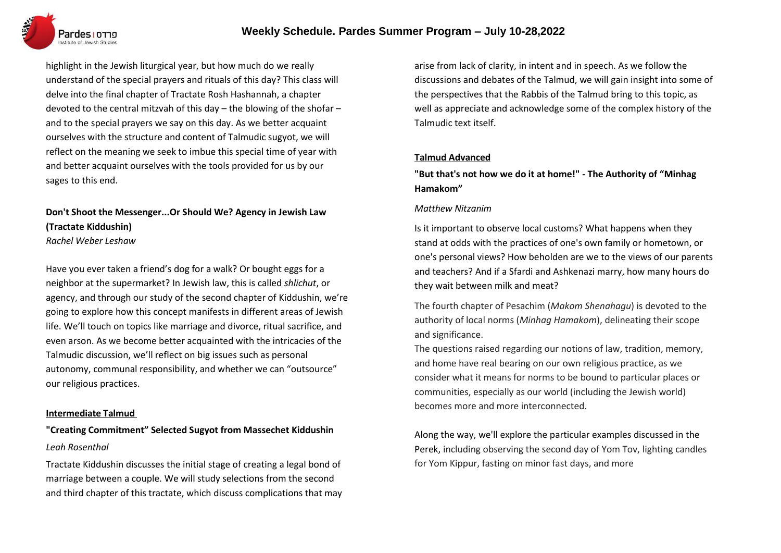

highlight in the Jewish liturgical year, but how much do we really understand of the special prayers and rituals of this day? This class will delve into the final chapter of Tractate Rosh Hashannah, a chapter devoted to the central mitzvah of this day – the blowing of the shofar – and to the special prayers we say on this day. As we better acquaint ourselves with the structure and content of Talmudic sugyot, we will reflect on the meaning we seek to imbue this special time of year with and better acquaint ourselves with the tools provided for us by our sages to this end.

# **Don't Shoot the Messenger...Or Should We? Agency in Jewish Law (Tractate Kiddushin)**

*Rachel Weber Leshaw*

Have you ever taken a friend's dog for a walk? Or bought eggs for a neighbor at the supermarket? In Jewish law, this is called *shlichut*, or agency, and through our study of the second chapter of Kiddushin, we're going to explore how this concept manifests in different areas of Jewish life. We'll touch on topics like marriage and divorce, ritual sacrifice, and even arson. As we become better acquainted with the intricacies of the Talmudic discussion, we'll reflect on big issues such as personal autonomy, communal responsibility, and whether we can "outsource" our religious practices.

#### **Intermediate Talmud**

# **"Creating Commitment" Selected Sugyot from Massechet Kiddushin** *Leah Rosenthal*

Tractate Kiddushin discusses the initial stage of creating a legal bond of marriage between a couple. We will study selections from the second and third chapter of this tractate, which discuss complications that may arise from lack of clarity, in intent and in speech. As we follow the discussions and debates of the Talmud, we will gain insight into some of the perspectives that the Rabbis of the Talmud bring to this topic, as well as appreciate and acknowledge some of the complex history of the Talmudic text itself.

### **Talmud Advanced**

**"But that's not how we do it at home!" - The Authority of "Minhag Hamakom"**

### *Matthew Nitzanim*

Is it important to observe local customs? What happens when they stand at odds with the practices of one's own family or hometown, or one's personal views? How beholden are we to the views of our parents and teachers? And if a Sfardi and Ashkenazi marry, how many hours do they wait between milk and meat?

The fourth chapter of Pesachim (*Makom Shenahagu*) is devoted to the authority of local norms (*Minhag Hamakom*), delineating their scope and significance.

The questions raised regarding our notions of law, tradition, memory, and home have real bearing on our own religious practice, as we consider what it means for norms to be bound to particular places or communities, especially as our world (including the Jewish world) becomes more and more interconnected.

Along the way, we'll explore the particular examples discussed in the Perek, including observing the second day of Yom Tov, lighting candles for Yom Kippur, fasting on minor fast days, and more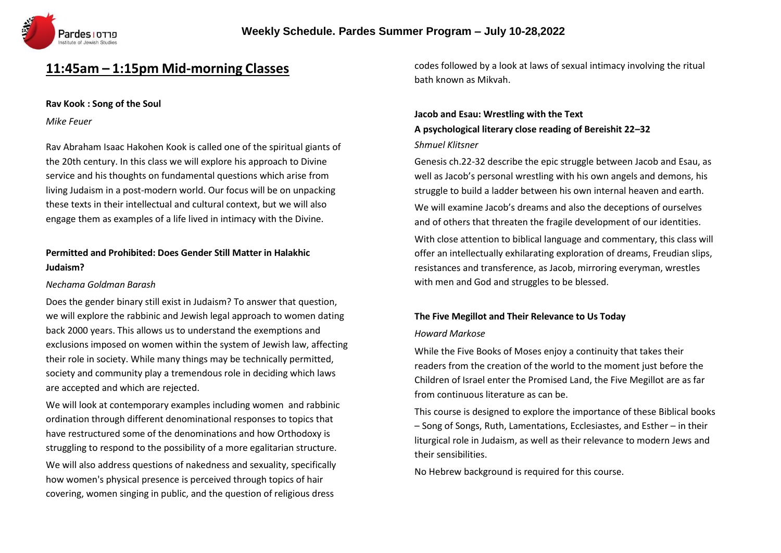

# **11:45am – 1:15pm Mid-morning Classes**

#### **Rav Kook : Song of the Soul**

*Mike Feuer*

Rav Abraham Isaac Hakohen Kook is called one of the spiritual giants of the 20th century. In this class we will explore his approach to Divine service and his thoughts on fundamental questions which arise from living Judaism in a post-modern world. Our focus will be on unpacking these texts in their intellectual and cultural context, but we will also engage them as examples of a life lived in intimacy with the Divine.

# **Permitted and Prohibited: Does Gender Still Matter in Halakhic Judaism?**

### *Nechama Goldman Barash*

Does the gender binary still exist in Judaism? To answer that question, we will explore the rabbinic and Jewish legal approach to women dating back 2000 years. This allows us to understand the exemptions and exclusions imposed on women within the system of Jewish law, affecting their role in society. While many things may be technically permitted, society and community play a tremendous role in deciding which laws are accepted and which are rejected.

We will look at contemporary examples including women and rabbinic ordination through different denominational responses to topics that have restructured some of the denominations and how Orthodoxy is struggling to respond to the possibility of a more egalitarian structure. We will also address questions of nakedness and sexuality, specifically how women's physical presence is perceived through topics of hair covering, women singing in public, and the question of religious dress

codes followed by a look at laws of sexual intimacy involving the ritual bath known as Mikvah.

# **Jacob and Esau: Wrestling with the Text A psychological literary close reading of Bereishit 22–32** *Shmuel Klitsner*

Genesis ch.22-32 describe the epic struggle between Jacob and Esau, as well as Jacob's personal wrestling with his own angels and demons, his struggle to build a ladder between his own internal heaven and earth. We will examine Jacob's dreams and also the deceptions of ourselves and of others that threaten the fragile development of our identities.

With close attention to biblical language and commentary, this class will offer an intellectually exhilarating exploration of dreams, Freudian slips, resistances and transference, as Jacob, mirroring everyman, wrestles with men and God and struggles to be blessed.

# **The Five Megillot and Their Relevance to Us Today**

### *Howard Markose*

While the Five Books of Moses enjoy a continuity that takes their readers from the creation of the world to the moment just before the Children of Israel enter the Promised Land, the Five Megillot are as far from continuous literature as can be.

This course is designed to explore the importance of these Biblical books – Song of Songs, Ruth, Lamentations, Ecclesiastes, and Esther – in their liturgical role in Judaism, as well as their relevance to modern Jews and their sensibilities.

No Hebrew background is required for this course.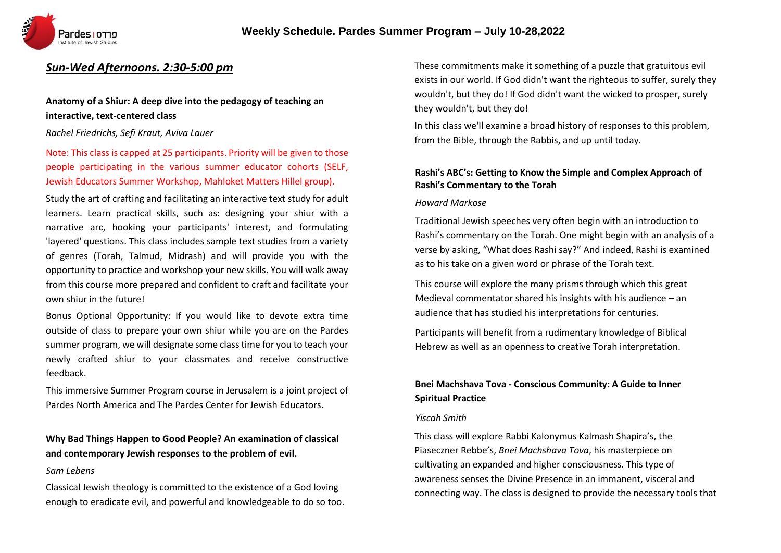

# *Sun-Wed Afternoons. 2:30-5:00 pm*

# **Anatomy of a Shiur: A deep dive into the pedagogy of teaching an interactive, text-centered class**

#### *Rachel Friedrichs, Sefi Kraut, Aviva Lauer*

# Note: This class is capped at 25 participants. Priority will be given to those people participating in the various summer educator cohorts (SELF, Jewish Educators Summer Workshop, Mahloket Matters Hillel group).

Study the art of crafting and facilitating an interactive text study for adult learners. Learn practical skills, such as: designing your shiur with a narrative arc, hooking your participants' interest, and formulating 'layered' questions. This class includes sample text studies from a variety of genres (Torah, Talmud, Midrash) and will provide you with the opportunity to practice and workshop your new skills. You will walk away from this course more prepared and confident to craft and facilitate your own shiur in the future!

Bonus Optional Opportunity: If you would like to devote extra time outside of class to prepare your own shiur while you are on the Pardes summer program, we will designate some class time for you to teach your newly crafted shiur to your classmates and receive constructive feedback.

This immersive Summer Program course in Jerusalem is a joint project of Pardes North America and The Pardes Center for Jewish Educators.

# **Why Bad Things Happen to Good People? An examination of classical and contemporary Jewish responses to the problem of evil.**

#### *Sam Lebens*

Classical Jewish theology is committed to the existence of a God loving enough to eradicate evil, and powerful and knowledgeable to do so too. These commitments make it something of a puzzle that gratuitous evil exists in our world. If God didn't want the righteous to suffer, surely they wouldn't, but they do! If God didn't want the wicked to prosper, surely they wouldn't, but they do!

In this class we'll examine a broad history of responses to this problem, from the Bible, through the Rabbis, and up until today.

### **Rashi's ABC's: Getting to Know the Simple and Complex Approach of Rashi's Commentary to the Torah**

#### *Howard Markose*

Traditional Jewish speeches very often begin with an introduction to Rashi's commentary on the Torah. One might begin with an analysis of a verse by asking, "What does Rashi say?" And indeed, Rashi is examined as to his take on a given word or phrase of the Torah text.

This course will explore the many prisms through which this great Medieval commentator shared his insights with his audience – an audience that has studied his interpretations for centuries.

Participants will benefit from a rudimentary knowledge of Biblical Hebrew as well as an openness to creative Torah interpretation.

# **Bnei Machshava Tova - Conscious Community: A Guide to Inner Spiritual Practice**

#### *Yiscah Smith*

This class will explore Rabbi Kalonymus Kalmash Shapira's, the Piaseczner Rebbe's, *Bnei Machshava Tova*, his masterpiece on cultivating an expanded and higher consciousness. This type of awareness senses the Divine Presence in an immanent, visceral and connecting way. The class is designed to provide the necessary tools that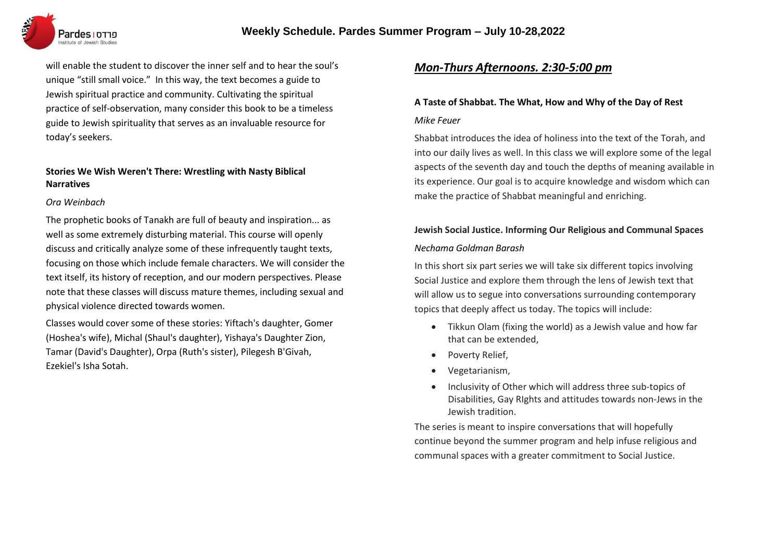

will enable the student to discover the inner self and to hear the soul's unique "still small voice." In this way, the text becomes a guide to Jewish spiritual practice and community. Cultivating the spiritual practice of self-observation, many consider this book to be a timeless guide to Jewish spirituality that serves as an invaluable resource for today's seekers.

# **Stories We Wish Weren't There: Wrestling with Nasty Biblical Narratives**

#### *Ora Weinbach*

The prophetic books of Tanakh are full of beauty and inspiration... as well as some extremely disturbing material. This course will openly discuss and critically analyze some of these infrequently taught texts, focusing on those which include female characters. We will consider the text itself, its history of reception, and our modern perspectives. Please note that these classes will discuss mature themes, including sexual and physical violence directed towards women.

Classes would cover some of these stories: Yiftach's daughter, Gomer (Hoshea's wife), Michal (Shaul's daughter), Yishaya's Daughter Zion, Tamar (David's Daughter), Orpa (Ruth's sister), Pilegesh B'Givah, Ezekiel's Isha Sotah.

# *Mon-Thurs Afternoons. 2:30-5:00 pm*

# **A Taste of Shabbat. The What, How and Why of the Day of Rest**

#### *Mike Feuer*

Shabbat introduces the idea of holiness into the text of the Torah, and into our daily lives as well. In this class we will explore some of the legal aspects of the seventh day and touch the depths of meaning available in its experience. Our goal is to acquire knowledge and wisdom which can make the practice of Shabbat meaningful and enriching.

# **Jewish Social Justice. Informing Our Religious and Communal Spaces** *Nechama Goldman Barash*

In this short six part series we will take six different topics involving Social Justice and explore them through the lens of Jewish text that will allow us to segue into conversations surrounding contemporary topics that deeply affect us today. The topics will include:

- Tikkun Olam (fixing the world) as a Jewish value and how far that can be extended,
- Poverty Relief,
- Vegetarianism,
- Inclusivity of Other which will address three sub-topics of Disabilities, Gay RIghts and attitudes towards non-Jews in the Jewish tradition.

The series is meant to inspire conversations that will hopefully continue beyond the summer program and help infuse religious and communal spaces with a greater commitment to Social Justice.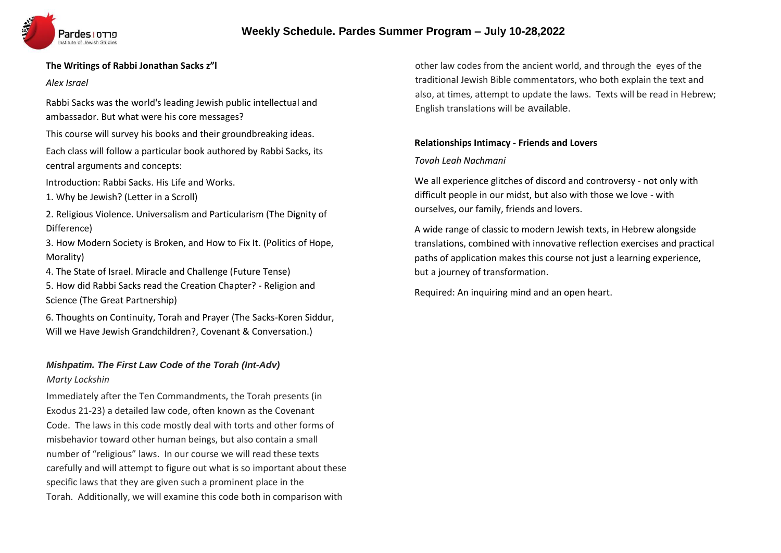# **Weekly Schedule. Pardes Summer Program – July 10-28,2022**



### **The Writings of Rabbi Jonathan Sacks z"l**

#### *Alex Israel*

Rabbi Sacks was the world's leading Jewish public intellectual and ambassador. But what were his core messages?

This course will survey his books and their groundbreaking ideas.

Each class will follow a particular book authored by Rabbi Sacks, its central arguments and concepts:

Introduction: Rabbi Sacks. His Life and Works.

1. Why be Jewish? (Letter in a Scroll)

2. Religious Violence. Universalism and Particularism (The Dignity of Difference)

3. How Modern Society is Broken, and How to Fix It. (Politics of Hope, Morality)

4. The State of Israel. Miracle and Challenge (Future Tense)

5. How did Rabbi Sacks read the Creation Chapter? - Religion and Science (The Great Partnership)

6. Thoughts on Continuity, Torah and Prayer (The Sacks-Koren Siddur, Will we Have Jewish Grandchildren?, Covenant & Conversation.)

# *Mishpatim. The First Law Code of the Torah (Int-Adv)*

### *Marty Lockshin*

Immediately after the Ten Commandments, the Torah presents (in Exodus 21-23) a detailed law code, often known as the Covenant Code. The laws in this code mostly deal with torts and other forms of misbehavior toward other human beings, but also contain a small number of "religious" laws. In our course we will read these texts carefully and will attempt to figure out what is so important about these specific laws that they are given such a prominent place in the Torah. Additionally, we will examine this code both in comparison with

other law codes from the ancient world, and through the eyes of the traditional Jewish Bible commentators, who both explain the text and also, at times, attempt to update the laws. Texts will be read in Hebrew; English translations will be available.

## **Relationships Intimacy - Friends and Lovers**

## *Tovah Leah Nachmani*

We all experience glitches of discord and controversy - not only with difficult people in our midst, but also with those we love - with ourselves, our family, friends and lovers.

A wide range of classic to modern Jewish texts, in Hebrew alongside translations, combined with innovative reflection exercises and practical paths of application makes this course not just a learning experience, but a journey of transformation.

Required: An inquiring mind and an open heart.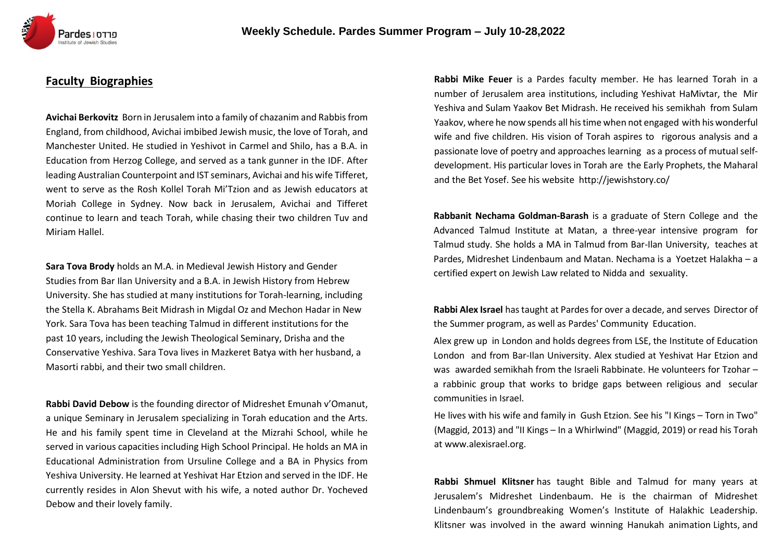

# **Faculty Biographies**

**Avichai Berkovitz** Born in Jerusalem into a family of chazanim and Rabbis from England, from childhood, Avichai imbibed Jewish music, the love of Torah, and Manchester United. He studied in Yeshivot in Carmel and Shilo, has a B.A. in Education from Herzog College, and served as a tank gunner in the IDF. After leading Australian Counterpoint and IST seminars, Avichai and his wife Tifferet, went to serve as the Rosh Kollel Torah Mi'Tzion and as Jewish educators at Moriah College in Sydney. Now back in Jerusalem, Avichai and Tifferet continue to learn and teach Torah, while chasing their two children Tuv and Miriam Hallel.

**Sara Tova Brody** holds an M.A. in Medieval Jewish History and Gender Studies from Bar Ilan University and a B.A. in Jewish History from Hebrew University. She has studied at many institutions for Torah-learning, including the Stella K. Abrahams Beit Midrash in Migdal Oz and Mechon Hadar in New York. Sara Tova has been teaching Talmud in different institutions for the past 10 years, including the Jewish Theological Seminary, Drisha and the Conservative Yeshiva. Sara Tova lives in Mazkeret Batya with her husband, a Masorti rabbi, and their two small children.

**Rabbi David Debow** is the founding director of Midreshet Emunah v'Omanut, a unique Seminary in Jerusalem specializing in Torah education and the Arts. He and his family spent time in Cleveland at the Mizrahi School, while he served in various capacities including High School Principal. He holds an MA in Educational Administration from Ursuline College and a BA in Physics from Yeshiva University. He learned at Yeshivat Har Etzion and served in the IDF. He currently resides in Alon Shevut with his wife, a noted author Dr. Yocheved Debow and their lovely family.

**Rabbi Mike Feuer** is a Pardes faculty member. He has learned Torah in a number of Jerusalem area institutions, including Yeshivat HaMivtar, the Mir Yeshiva and Sulam Yaakov Bet Midrash. He received his semikhah from Sulam Yaakov, where he now spends all histime when not engaged with his wonderful wife and five children. His vision of Torah aspires to rigorous analysis and a passionate love of poetry and approaches learning as a process of mutualselfdevelopment. His particular loves in Torah are the Early Prophets, the Maharal and the Bet Yosef. See his website <http://jewishstory.co/>

**Rabbanit Nechama Goldman-Barash** is a graduate of Stern College and the Advanced Talmud Institute at Matan, a three-year intensive program for Talmud study. She holds a MA in Talmud from Bar-Ilan University, teaches at Pardes, Midreshet Lindenbaum and Matan. Nechama is a Yoetzet Halakha – a certified expert on Jewish Law related to Nidda and sexuality.

**Rabbi Alex Israel** hastaught at Pardes for over a decade, and serves Director of the Summer program, as well as Pardes' Community Education.

Alex grew up in London and holds degrees from LSE, the Institute of Education London and from Bar-Ilan University. Alex studied at Yeshivat Har Etzion and was awarded semikhah from the Israeli Rabbinate. He volunteers for Tzohar – a rabbinic group that works to bridge gaps between religious and secular communities in Israel.

He lives with his wife and family in Gush Etzion. See his "I Kings – Torn in Two" (Maggid, 2013) and "II Kings – In a Whirlwind" (Maggid, 2019) or read his Torah at [www.alexisrael.org.](http://www.alexisrael.org/)

**Rabbi Shmuel Klitsner** has taught Bible and Talmud for many years at Jerusalem's Midreshet Lindenbaum. He is the chairman of Midreshet Lindenbaum's groundbreaking Women's Institute of Halakhic Leadership. Klitsner was involved in the award winning Hanukah animation Lights, and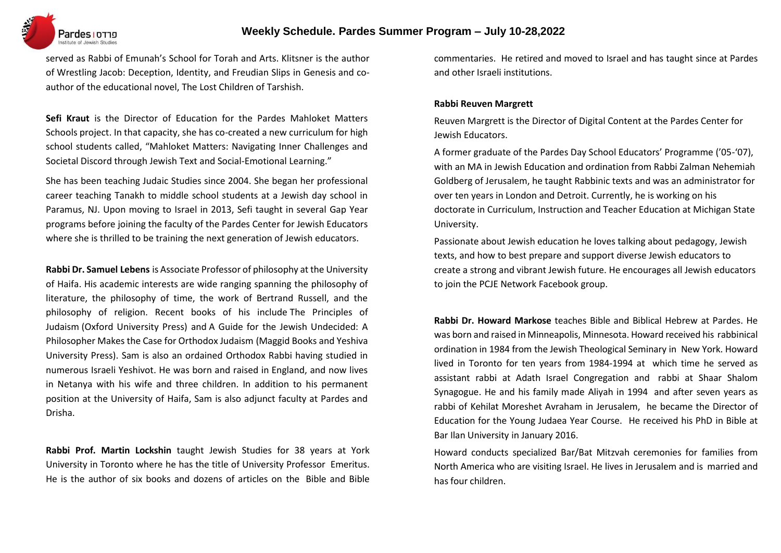

served as Rabbi of Emunah's School for Torah and Arts. Klitsner is the author of Wrestling Jacob: Deception, Identity, and Freudian Slips in Genesis and coauthor of the educational novel, The Lost Children of Tarshish.

**Sefi Kraut** is the Director of Education for the Pardes Mahloket Matters Schools project. In that capacity, she has co-created a new curriculum for high school students called, "Mahloket Matters: Navigating Inner Challenges and Societal Discord through Jewish Text and Social-Emotional Learning."

She has been teaching Judaic Studies since 2004. She began her professional career teaching Tanakh to middle school students at a Jewish day school in Paramus, NJ. Upon moving to Israel in 2013, Sefi taught in several Gap Year programs before joining the faculty of the Pardes Center for Jewish Educators where she is thrilled to be training the next generation of Jewish educators.

**Rabbi Dr. Samuel Lebens** is Associate Professor of philosophy at the University of Haifa. His academic interests are wide ranging spanning the philosophy of literature, the philosophy of time, the work of Bertrand Russell, and the philosophy of religion. Recent books of his include The Principles of Judaism (Oxford University Press) and A Guide for the Jewish Undecided: A Philosopher Makes the Case for Orthodox Judaism (Maggid Books and Yeshiva University Press). Sam is also an ordained Orthodox Rabbi having studied in numerous Israeli Yeshivot. He was born and raised in England, and now lives in Netanya with his wife and three children. In addition to his permanent position at the University of Haifa, Sam is also adjunct faculty at Pardes and Drisha.

**Rabbi Prof. Martin Lockshin** taught Jewish Studies for 38 years at York University in Toronto where he has the title of University Professor Emeritus. He is the author of six books and dozens of articles on the Bible and Bible commentaries. He retired and moved to Israel and has taught since at Pardes and other Israeli institutions.

#### **Rabbi Reuven Margrett**

Reuven Margrett is the Director of Digital Content at the Pardes Center for Jewish Educators.

A former graduate of the Pardes Day School Educators' Programme ('05-'07), with an MA in Jewish Education and ordination from Rabbi Zalman Nehemiah Goldberg of Jerusalem, he taught Rabbinic texts and was an administrator for over ten years in London and Detroit. Currently, he is working on his doctorate in Curriculum, Instruction and Teacher Education at Michigan State University.

Passionate about Jewish education he loves talking about pedagogy, Jewish texts, and how to best prepare and support diverse Jewish educators to create a strong and vibrant Jewish future. He encourages all Jewish educators to join the PCJE Network Facebook group.

**Rabbi Dr. Howard Markose** teaches Bible and Biblical Hebrew at Pardes. He was born and raised in Minneapolis, Minnesota. Howard received his rabbinical ordination in 1984 from the Jewish Theological Seminary in New York. Howard lived in Toronto for ten years from 1984-1994 at which time he served as assistant rabbi at Adath Israel Congregation and rabbi at Shaar Shalom Synagogue. He and his family made Aliyah in 1994 and after seven years as rabbi of Kehilat Moreshet Avraham in Jerusalem, he became the Director of Education for the Young Judaea Year Course. He received his PhD in Bible at Bar Ilan University in January 2016.

Howard conducts specialized Bar/Bat Mitzvah ceremonies for families from North America who are visiting Israel. He lives in Jerusalem and is married and has four children.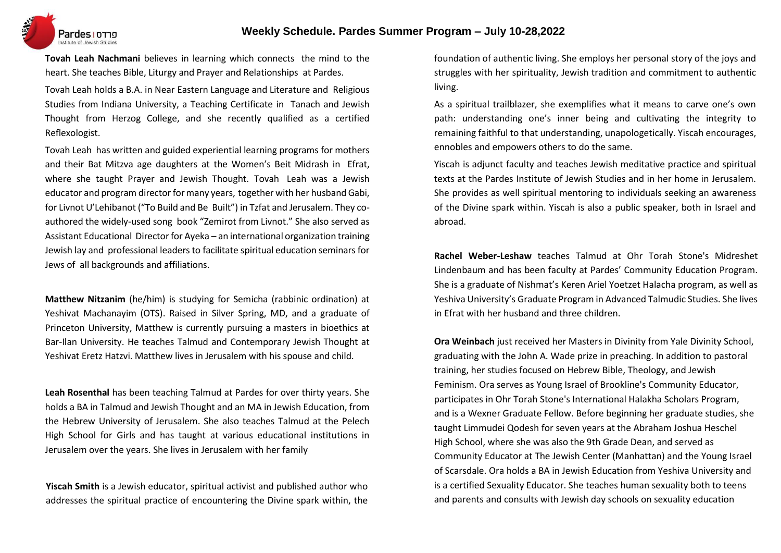

**Tovah Leah Nachmani** believes in learning which connects the mind to the heart. She teaches Bible, Liturgy and Prayer and Relationships at Pardes.

Tovah Leah holds a B.A. in Near Eastern Language and Literature and Religious Studies from Indiana University, a Teaching Certificate in Tanach and Jewish Thought from Herzog College, and she recently qualified as a certified Reflexologist.

Tovah Leah has written and guided experiential learning programs for mothers and their Bat Mitzva age daughters at the Women's Beit Midrash in Efrat, where she taught Prayer and Jewish Thought. Tovah Leah was a Jewish educator and program director for many years, together with her husband Gabi, for Livnot U'Lehibanot ("To Build and Be Built") in Tzfat and Jerusalem. They coauthored the widely-used song book "Zemirot from Livnot." She also served as Assistant Educational Director for Ayeka – an international organization training Jewish lay and professional leadersto facilitate spiritual education seminars for Jews of all backgrounds and affiliations.

**Matthew Nitzanim** (he/him) is studying for Semicha (rabbinic ordination) at Yeshivat Machanayim (OTS). Raised in Silver Spring, MD, and a graduate of Princeton University, Matthew is currently pursuing a masters in bioethics at Bar-Ilan University. He teaches Talmud and Contemporary Jewish Thought at Yeshivat Eretz Hatzvi. Matthew lives in Jerusalem with his spouse and child.

**Leah Rosenthal** has been teaching Talmud at Pardes for over thirty years. She holds a BA in Talmud and Jewish Thought and an MA in Jewish Education, from the Hebrew University of Jerusalem. She also teaches Talmud at the Pelech High School for Girls and has taught at various educational institutions in Jerusalem over the years. She lives in Jerusalem with her family

**Yiscah Smith** is a Jewish educator, spiritual activist and published author who addresses the spiritual practice of encountering the Divine spark within, the foundation of authentic living. She employs her personal story of the joys and struggles with her spirituality, Jewish tradition and commitment to authentic living.

As a spiritual trailblazer, she exemplifies what it means to carve one's own path: understanding one's inner being and cultivating the integrity to remaining faithful to that understanding, unapologetically. Yiscah encourages, ennobles and empowers others to do the same.

Yiscah is adjunct faculty and teaches Jewish meditative practice and spiritual texts at the Pardes Institute of Jewish Studies and in her home in Jerusalem. She provides as well spiritual mentoring to individuals seeking an awareness of the Divine spark within. Yiscah is also a public speaker, both in Israel and abroad.

**Rachel Weber-Leshaw** teaches Talmud at Ohr Torah Stone's Midreshet Lindenbaum and has been faculty at Pardes' Community Education Program. She is a graduate of Nishmat's Keren Ariel Yoetzet Halacha program, as well as Yeshiva University's Graduate Program in Advanced Talmudic Studies. She lives in Efrat with her husband and three children.

**Ora Weinbach** just received her Masters in Divinity from Yale Divinity School, graduating with the John A. Wade prize in preaching. In addition to pastoral training, her studies focused on Hebrew Bible, Theology, and Jewish Feminism. Ora serves as Young Israel of Brookline's Community Educator, participates in Ohr Torah Stone's International Halakha Scholars Program, and is a Wexner Graduate Fellow. Before beginning her graduate studies, she taught Limmudei Qodesh for seven years at the Abraham Joshua Heschel High School, where she was also the 9th Grade Dean, and served as Community Educator at The Jewish Center (Manhattan) and the Young Israel of Scarsdale. Ora holds a BA in Jewish Education from Yeshiva University and is a certified Sexuality Educator. She teaches human sexuality both to teens and parents and consults with Jewish day schools on sexuality education